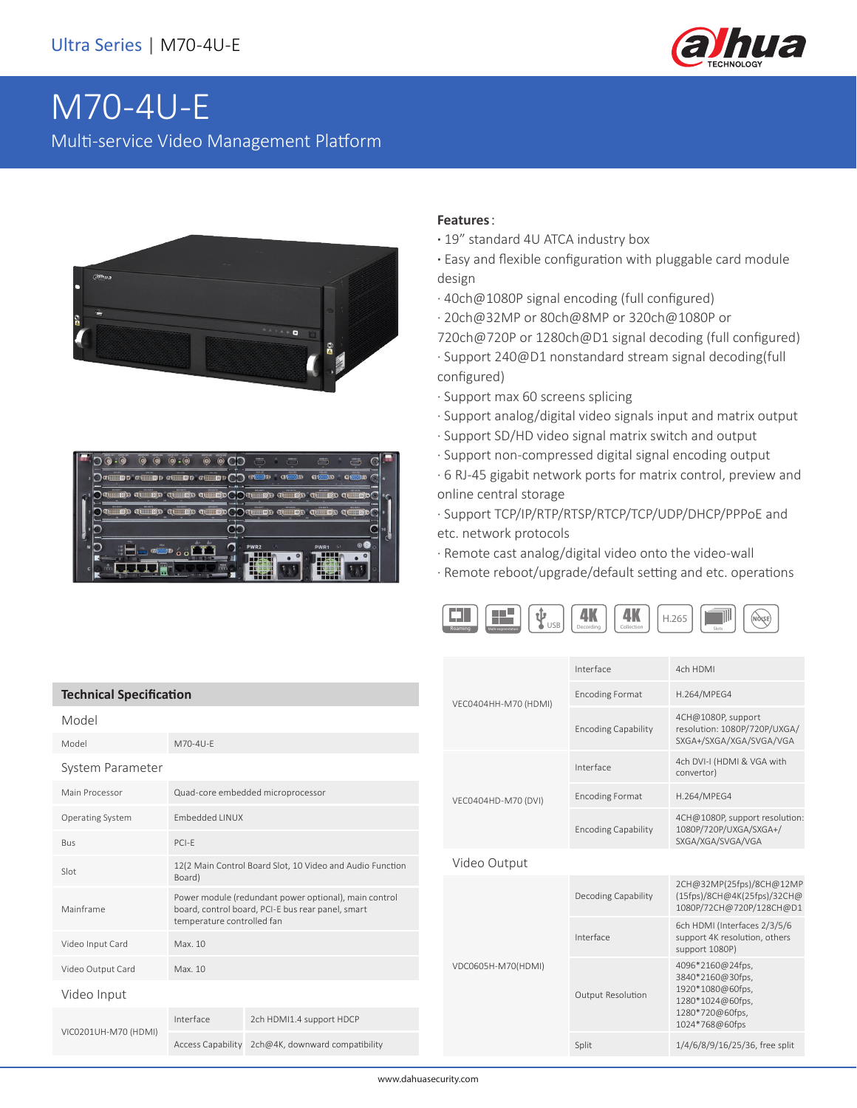

# M70-4U-E Multi-service Video Management Platform





### **Features**:

- **·** 19" standard 4U ATCA industry box
- **·** Easy and flexible configuration with pluggable card module design
- · 40ch@1080P signal encoding (full configured)
- · 20ch@32MP or 80ch@8MP or 320ch@1080P or
- 720ch@720P or 1280ch@D1 signal decoding (full configured)
- · Support 240@D1 nonstandard stream signal decoding(full configured)
- · Support max 60 screens splicing
- · Support analog/digital video signals input and matrix output
- · Support SD/HD video signal matrix switch and output
- · Support non-compressed digital signal encoding output
- · 6 RJ-45 gigabit network ports for matrix control, preview and online central storage

· Support TCP/IP/RTP/RTSP/RTCP/TCP/UDP/DHCP/PPPoE and etc. network protocols

- · Remote cast analog/digital video onto the video-wall
- · Remote reboot/upgrade/default setting and etc. operations



| <b>Technical Specification</b> |                                                                                                                                          |                                                  |  |  |
|--------------------------------|------------------------------------------------------------------------------------------------------------------------------------------|--------------------------------------------------|--|--|
| Model                          |                                                                                                                                          |                                                  |  |  |
| Model                          | M70-4U-F                                                                                                                                 |                                                  |  |  |
| System Parameter               |                                                                                                                                          |                                                  |  |  |
| Main Processor                 | Quad-core embedded microprocessor                                                                                                        |                                                  |  |  |
| <b>Operating System</b>        | <b>Embedded LINUX</b>                                                                                                                    |                                                  |  |  |
| Bus                            | $PCI-F$                                                                                                                                  |                                                  |  |  |
| Slot                           | 12(2 Main Control Board Slot, 10 Video and Audio Function<br>Board)                                                                      |                                                  |  |  |
| Mainframe                      | Power module (redundant power optional), main control<br>board, control board, PCI-E bus rear panel, smart<br>temperature controlled fan |                                                  |  |  |
| Video Input Card               | Max. 10                                                                                                                                  |                                                  |  |  |
| Video Output Card              | Max. 10                                                                                                                                  |                                                  |  |  |
| Video Input                    |                                                                                                                                          |                                                  |  |  |
| VIC0201UH-M70 (HDMI)           | Interface                                                                                                                                | 2ch HDMI1.4 support HDCP                         |  |  |
|                                |                                                                                                                                          | Access Capability 2ch@4K, downward compatibility |  |  |

| VEC0404HH-M70 (HDMI) | Interface                  | 4ch HDMI                                                                                                          |  |
|----------------------|----------------------------|-------------------------------------------------------------------------------------------------------------------|--|
|                      | <b>Encoding Format</b>     | H.264/MPEG4                                                                                                       |  |
|                      | <b>Encoding Capability</b> | 4CH@1080P, support<br>resolution: 1080P/720P/UXGA/<br>SXGA+/SXGA/XGA/SVGA/VGA                                     |  |
| VEC0404HD-M70 (DVI)  | Interface                  | 4ch DVI-I (HDMI & VGA with<br>convertor)                                                                          |  |
|                      | <b>Encoding Format</b>     | H.264/MPEG4                                                                                                       |  |
|                      | <b>Encoding Capability</b> | 4CH@1080P, support resolution:<br>1080P/720P/UXGA/SXGA+/<br>SXGA/XGA/SVGA/VGA                                     |  |
| Video Output         |                            |                                                                                                                   |  |
| VDC0605H-M70(HDMI)   | Decoding Capability        | 2CH@32MP(25fps)/8CH@12MP<br>(15fps)/8CH@4K(25fps)/32CH@<br>1080P/72CH@720P/128CH@D1                               |  |
|                      | Interface                  | 6ch HDMI (Interfaces 2/3/5/6<br>support 4K resolution, others<br>support 1080P)                                   |  |
|                      | Output Resolution          | 4096*2160@24fps,<br>3840*2160@30fps,<br>1920*1080@60fps,<br>1280*1024@60fps,<br>1280*720@60fps,<br>1024*768@60fps |  |
|                      | Split                      | 1/4/6/8/9/16/25/36, free split                                                                                    |  |